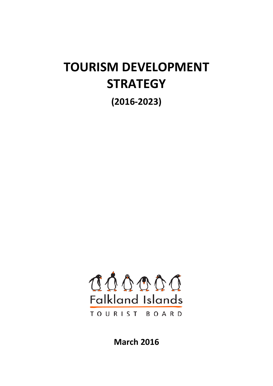# **TOURISM DEVELOPMENT STRATEGY**

**(2016-2023)**



**March 2016**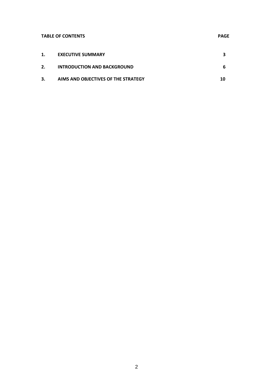# **TABLE OF CONTENTS** PAGE

|    | <b>EXECUTIVE SUMMARY</b>            |    |
|----|-------------------------------------|----|
| 2. | <b>INTRODUCTION AND BACKGROUND</b>  | -6 |
| З. | AIMS AND OBJECTIVES OF THE STRATEGY | 10 |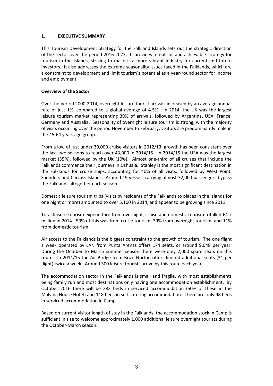## **1. EXECUTIVE SUMMARY**

This Tourism Development Strategy for the Falkland Islands sets out the strategic direction of the sector over the period 2016-2023. It provides a realistic and achievable strategy for tourism in the Islands, striving to make it a more vibrant industry for current and future investors. It also addresses the extreme seasonality issues faced in the Falklands, which are a constraint to development and limit tourism's potential as a year-round sector for income and employment.

#### **Overview of the Sector**

Over the period 2000-2014, overnight leisure tourist arrivals increased by an average annual rate of just 1%, compared to a global average of 4.5%. In 2014, the UK was the largest leisure tourism market representing 39% of arrivals, followed by Argentina, USA, France, Germany and Australia. Seasonality of overnight leisure tourism is strong, with the majority of visits occurring over the period November to February; visitors are predominantly male in the 45-64 years age group.

From a low of just under 30,000 cruise visitors in 2012/13, growth has been consistent over the last two seasons to reach over 43,000 in 2014/15. In 2014/15 the USA was the largest market (35%), followed by the UK (10%). Almost one-third of all cruises that include the Falklands commence their journeys in Ushuaia. Stanley is the most significant destination in the Falklands for cruise ships, accounting for 40% of all visits, followed by West Point, Saunders and Carcass Islands. Around 19 vessels carrying almost 32,000 passengers bypass the Falklands altogether each season

Domestic leisure tourism trips (visits by residents of the Falklands to places in the Islands for one night or more) amounted to over 5,100 in 2014, and appear to be growing since 2011.

Total leisure tourism expenditure from overnight, cruise and domestic tourism totalled £4.7 million in 2014. 50% of this was from cruise tourism, 39% from overnight tourism, and 11% from domestic tourism.

Air access to the Falklands is the biggest constraint to the growth of tourism. The one flight a week operated by LAN from Punta Arenas offers 174 seats, or around 9,048 per year. During the October to March summer season there were only 2,000 spare seats on this route. In 2014/15 the Air Bridge from Brize Norton offers limited additional seats (31 per flight) twice a week. Around 300 leisure tourists arrive by this route each year.

The accommodation sector in the Falklands is small and fragile, with most establishments being family run and most destinations only having one accommodation establishment. By October 2016 there will be 283 beds in serviced accommodation (50% of these in the Malvina House Hotel) and 118 beds in self-catering accommodation. There are only 98 beds in serviced accommodation in Camp.

Based on current visitor length of stay in the Falklands, the accommodation stock in Camp is sufficient in size to welcome approximately 1,000 additional leisure overnight tourists during the October-March season.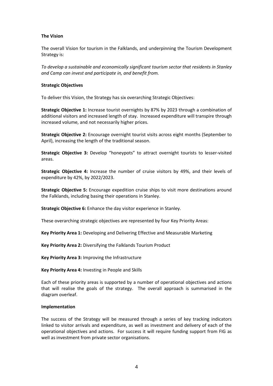#### **The Vision**

The overall Vision for tourism in the Falklands, and underpinning the Tourism Development Strategy is:

*To develop a sustainable and economically significant tourism sector that residents in Stanley and Camp can invest and participate in, and benefit from.*

#### **Strategic Objectives**

To deliver this Vision, the Strategy has six overarching Strategic Objectives:

**Strategic Objective 1:** Increase tourist overnights by 87% by 2023 through a combination of additional visitors and increased length of stay. Increased expenditure will transpire through increased volume, and not necessarily higher prices.

**Strategic Objective 2:** Encourage overnight tourist visits across eight months (September to April), increasing the length of the traditional season.

**Strategic Objective 3:** Develop "honeypots" to attract overnight tourists to lesser-visited areas.

**Strategic Objective 4:** Increase the number of cruise visitors by 49%, and their levels of expenditure by 42%, by 2022/2023.

**Strategic Objective 5:** Encourage expedition cruise ships to visit more destinations around the Falklands, including basing their operations in Stanley.

**Strategic Objective 6:** Enhance the day visitor experience in Stanley.

These overarching strategic objectives are represented by four Key Priority Areas:

**Key Priority Area 1:** Developing and Delivering Effective and Measurable Marketing

**Key Priority Area 2:** Diversifying the Falklands Tourism Product

**Key Priority Area 3:** Improving the Infrastructure

**Key Priority Area 4:** Investing in People and Skills

Each of these priority areas is supported by a number of operational objectives and actions that will realise the goals of the strategy. The overall approach is summarised in the diagram overleaf.

#### **Implementation**

The success of the Strategy will be measured through a series of key tracking indicators linked to visitor arrivals and expenditure, as well as investment and delivery of each of the operational objectives and actions. For success it will require funding support from FIG as well as investment from private sector organisations.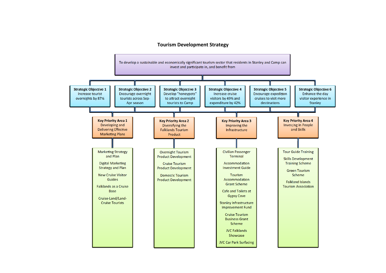#### **Tourism Development Strategy**

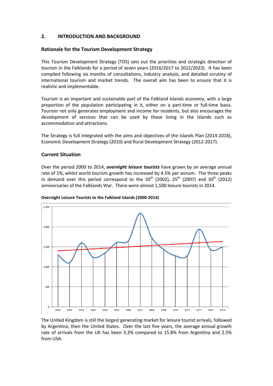# **2. INTRODUCTION AND BACKGROUND**

## **Rationale for the Tourism Development Strategy**

This Tourism Development Strategy (TDS) sets out the priorities and strategic direction of tourism in the Falklands for a period of seven years (2016/2017 to 2022/2023). It has been compiled following six months of consultations, industry analysis, and detailed scrutiny of international tourism and market trends. The overall aim has been to ensure that it is realistic and implementable.

Tourism is an important and sustainable part of the Falkland Islands economy, with a large proportion of the population participating in it, either on a part-time or full-time basis. Tourism not only generates employment and income for residents, but also encourages the development of services that can be used by those living in the Islands such as accommodation and attractions.

The Strategy is full integrated with the aims and objectives of the Islands Plan (2014-2018), Economic Development Strategy (2010) and Rural Development Strategy (2012-2017).

#### **Current Situation**

Over the period 2000 to 2014, *overnight leisure tourists* have grown by an average annual rate of 1%, whilst world tourism growth has increased by 4.5% per annum. The three peaks in demand over this period correspond to the  $20^{th}$  (2002),  $25^{th}$  (2007) and  $30^{th}$  (2012) anniversaries of the Falklands War. There were almost 1,500 leisure tourists in 2014.



#### **Overnight Leisure Tourists to the Falkland Islands (2000-2014)**

The United Kingdom is still the largest generating market for leisure tourist arrivals, followed by Argentina, then the United States. Over the last five years, the average annual growth rate of arrivals from the UK has been 3.3% compared to 15.8% from Argentina and 2.5% from USA.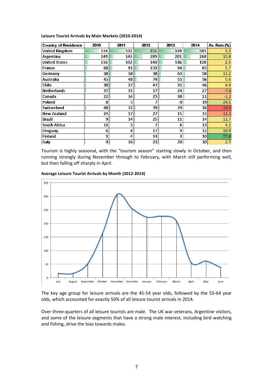| Leisure Tourist Arrivals by Main Markets (2010-2014) |  |  |  |
|------------------------------------------------------|--|--|--|
|------------------------------------------------------|--|--|--|

| <b>Country of Residence</b> | 2010 | 2011 | 2012 | 2013            | 2014            | Av. Rate (%) |
|-----------------------------|------|------|------|-----------------|-----------------|--------------|
| <b>United Kingdom</b>       | 514  | 532  | 856  | 559             | 585             | 3.3          |
| Argentina                   | 149  | 143  | 289  | 201             | 268             | 15.8         |
| <b>United States</b>        | 116  | 102  | 140  | 136             | 128             | 2.5          |
| France                      | 68   | 91   | 150  | 94              | 85              | 5.7          |
| Germany                     | 38   | 58   | 38   | 63              | 58              | 11.2         |
| Australia                   | 45   | 48   | 74 I | 55              | 56              | 5.6          |
| <b>Chile</b>                | 38 I | 37   | 47   | 31              | 46              | 4.9          |
| <b>Netherlands</b>          | 37 I | 31   | 17   | 24              | 27              | $-7.6$       |
| Canada                      | 22   | 34   | 25   | 38              | 21              | $-1.2$       |
| Poland                      | 8    | 5    | 7    | 0               | 19              | 24.1         |
| Switzerland                 | 48   | 32   | 39   | 29              | 16              | $-24.0$      |
| <b>New Zealand</b>          | 24   | 17   | 27   | 15              | 15              | $-11.1$      |
| Brazil                      | 91   | 14   | 25   | 11              | 14              | 11.7         |
| <b>South Africa</b>         | 11   | 5    | 7    | 6               | 13              | 4.3          |
| <b>Uruguay</b>              | 6    | 4    | 17   | 9               | 12              | 18.9         |
| <b>Finland</b>              | 1    | 4    | 14   | 3               | 10 <sup>1</sup> | 77.8         |
| Italy                       | 9    | 16   | 23   | 20 <sub>2</sub> | 10              | 2.7          |

Tourism is highly seasonal, with the "tourism season" starting slowly in October, and then running strongly during November through to February, with March still performing well, but then falling off sharply in April.





The key age group for leisure arrivals are the 45-54 year olds, followed by the 55-64 year olds, which accounted for exactly 50% of all leisure tourist arrivals in 2014.

Over three-quarters of all leisure tourists are male. The UK war veterans, Argentine visitors, and some of the leisure segments that have a strong male interest, including bird watching and fishing, drive the bias towards males.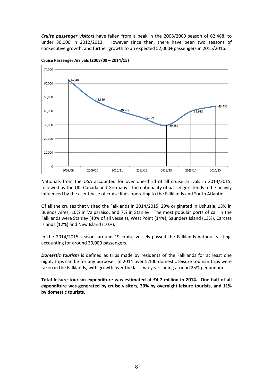*Cruise passenger visitors* have fallen from a peak in the 2008/2009 season of 62,488, to under 30,000 in 2012/2013. However since then, there have been two seasons of consecutive growth, and further growth to an expected 52,000+ passengers in 2015/2016.



#### **Cruise Passenger Arrivals (2008/09 – 2014/15)**

Nationals from the USA accounted for over one-third of all cruise arrivals in 2014/2015, followed by the UK, Canada and Germany. The nationality of passengers tends to be heavily influenced by the client base of cruise lines operating to the Falklands and South Atlantic.

Of all the cruises that visited the Falklands in 2014/2015, 29% originated in Ushuaia, 13% in Buenos Aires, 10% in Valparaiso, and 7% in Stanley. The most popular ports of call in the Falklands were Stanley (40% of all vessels), West Point (14%), Saunders Island (13%), Carcass Islands (12%) and New Island (10%).

In the 2014/2015 season, around 19 cruise vessels passed the Falklands without visiting, accounting for around 30,000 passengers.

*Domestic tourism* is defined as trips made by residents of the Falklands for at least one night; trips can be for any purpose. In 2014 over 5,100 domestic leisure tourism trips were taken in the Falklands, with growth over the last two years being around 25% per annum.

**Total leisure tourism expenditure was estimated at £4.7 million in 2014. One half of all expenditure was generated by cruise visitors, 39% by overnight leisure tourists, and 11% by domestic tourists.**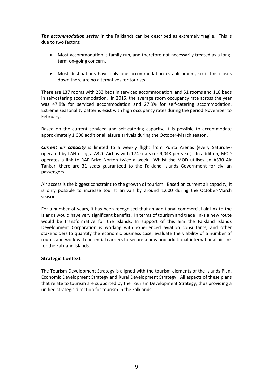*The accommodation sector* in the Falklands can be described as extremely fragile. This is due to two factors:

- Most accommodation is family run, and therefore not necessarily treated as a longterm on-going concern.
- Most destinations have only one accommodation establishment, so if this closes down there are no alternatives for tourists.

There are 137 rooms with 283 beds in serviced accommodation, and 51 rooms and 118 beds in self-catering accommodation. In 2015, the average room occupancy rate across the year was 47.8% for serviced accommodation and 27.8% for self-catering accommodation. Extreme seasonality patterns exist with high occupancy rates during the period November to February.

Based on the current serviced and self-catering capacity, it is possible to accommodate approximately 1,000 additional leisure arrivals during the October-March season.

*Current air capacity* is limited to a weekly flight from Punta Arenas (every Saturday) operated by LAN using a A320 Airbus with 174 seats (or 9,048 per year). In addition, MOD operates a link to RAF Brize Norton twice a week. Whilst the MOD utilises an A330 Air Tanker, there are 31 seats guaranteed to the Falkland Islands Government for civilian passengers.

Air access is the biggest constraint to the growth of tourism. Based on current air capacity, it is only possible to increase tourist arrivals by around 1,600 during the October-March season.

For a number of years, it has been recognised that an additional commercial air link to the Islands would have very significant benefits. In terms of tourism and trade links a new route would be transformative for the Islands. In support of this aim the Falkland Islands Development Corporation is working with experienced aviation consultants, and other stakeholders to quantify the economic business case, evaluate the viability of a number of routes and work with potential carriers to secure a new and additional international air link for the Falkland Islands.

#### **Strategic Context**

The Tourism Development Strategy is aligned with the tourism elements of the Islands Plan, Economic Development Strategy and Rural Development Strategy. All aspects of these plans that relate to tourism are supported by the Tourism Development Strategy, thus providing a unified strategic direction for tourism in the Falklands.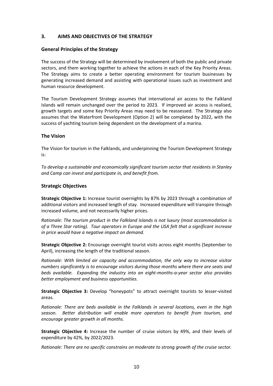# **3. AIMS AND OBJECTIVES OF THE STRATEGY**

## **General Principles of the Strategy**

The success of the Strategy will be determined by involvement of both the public and private sectors, and them working together to achieve the actions in each of the Key Priority Areas. The Strategy aims to create a better operating environment for tourism businesses by generating increased demand and assisting with operational issues such as investment and human resource development.

The Tourism Development Strategy assumes that international air access to the Falkland Islands will remain unchanged over the period to 2023. If improved air access is realised, growth targets and some Key Priority Areas may need to be reassessed. The Strategy also assumes that the Waterfront Development (Option 2) will be completed by 2022, with the success of yachting tourism being dependent on the development of a marina.

## **The Vision**

The Vision for tourism in the Falklands, and underpinning the Tourism Development Strategy is:

*To develop a sustainable and economically significant tourism sector that residents in Stanley and Camp can invest and participate in, and benefit from.*

## **Strategic Objectives**

**Strategic Objective 1:** Increase tourist overnights by 87% by 2023 through a combination of additional visitors and increased length of stay. Increased expenditure will transpire through increased volume, and not necessarily higher prices.

*Rationale: The tourism product in the Falkland Islands is not luxury (most accommodation is of a Three Star rating). Tour operators in Europe and the USA felt that a significant increase in price would have a negative impact on demand.*

**Strategic Objective 2:** Encourage overnight tourist visits across eight months (September to April), increasing the length of the traditional season.

*Rationale: With limited air capacity and accommodation, the only way to increase visitor numbers significantly is to encourage visitors during those months where there are seats and beds available. Expanding the industry into an eight-months-a-year sector also provides better employment and business opportunities.*

**Strategic Objective 3:** Develop "honeypots" to attract overnight tourists to lesser-visited areas.

*Rationale: There are beds available in the Falklands in several locations, even in the high season. Better distribution will enable more operators to benefit from tourism, and encourage greater growth in all months.*

**Strategic Objective 4:** Increase the number of cruise visitors by 49%, and their levels of expenditure by 42%, by 2022/2023.

*Rationale: There are no specific constrains on moderate to strong growth of the cruise sector.*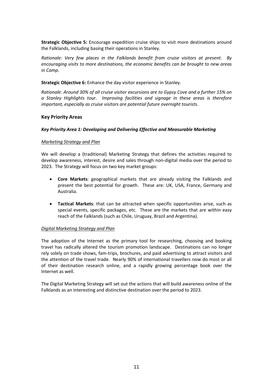**Strategic Objective 5:** Encourage expedition cruise ships to visit more destinations around the Falklands, including basing their operations in Stanley.

*Rationale: Very few places in the Falklands benefit from cruise visitors at present. By encouraging visits to more destinations, the economic benefits can be brought to new areas in Camp.*

**Strategic Objective 6:** Enhance the day visitor experience in Stanley.

*Rationale: Around 30% of all cruise visitor excursions are to Gypsy Cove and a further 15% on a Stanley Highlights tour. Improving facilities and signage in these areas is therefore important, especially as cruise visitors are potential future overnight tourists.*

#### **Key Priority Areas**

#### *Key Priority Area 1: Developing and Delivering Effective and Measurable Marketing*

## *Marketing Strategy and Plan*

We will develop a (traditional) Marketing Strategy that defines the activities required to develop awareness, interest, desire and sales through non-digital media over the period to 2023. The Strategy will focus on two key market groups:

- **Core Markets**: geographical markets that are already visiting the Falklands and present the best potential for growth. These are: UK, USA, France, Germany and Australia.
- **Tactical Markets**: that can be attracted when specific opportunities arise, such as special events, specific packages, etc. These are the markets that are within easy reach of the Falklands (such as Chile, Uruguay, Brazil and Argentina).

#### *Digital Marketing Strategy and Plan*

The adoption of the Internet as the primary tool for researching, choosing and booking travel has radically altered the tourism promotion landscape. Destinations can no longer rely solely on trade shows, fam-trips, brochures, and paid advertising to attract visitors and the attention of the travel trade. Nearly 90% of international travellers now do most or all of their destination research online, and a rapidly growing percentage book over the Internet as well.

The Digital Marketing Strategy will set out the actions that will build awareness online of the Falklands as an interesting and distinctive destination over the period to 2023.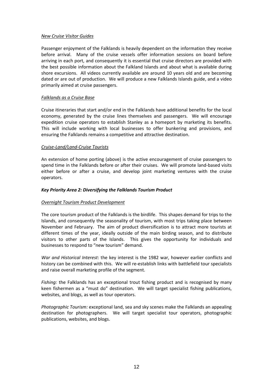#### *New Cruise Visitor Guides*

Passenger enjoyment of the Falklands is heavily dependent on the information they receive before arrival. Many of the cruise vessels offer information sessions on board before arriving in each port, and consequently it is essential that cruise directors are provided with the best possible information about the Falkland Islands and about what is available during shore excursions. All videos currently available are around 10 years old and are becoming dated or are out of production. We will produce a new Falklands Islands guide, and a video primarily aimed at cruise passengers.

#### *Falklands as a Cruise Base*

Cruise itineraries that start and/or end in the Falklands have additional benefits for the local economy, generated by the cruise lines themselves and passengers. We will encourage expedition cruise operators to establish Stanley as a homeport by marketing its benefits. This will include working with local businesses to offer bunkering and provisions, and ensuring the Falklands remains a competitive and attractive destination.

#### *Cruise-Land/Land-Cruise Tourists*

An extension of home porting (above) is the active encouragement of cruise passengers to spend time in the Falklands before or after their cruises. We will promote land-based visits either before or after a cruise, and develop joint marketing ventures with the cruise operators.

#### *Key Priority Area 2: Diversifying the Falklands Tourism Product*

#### *Overnight Tourism Product Development*

The core tourism product of the Falklands is the birdlife. This shapes demand for trips to the Islands, and consequently the seasonality of tourism, with most trips taking place between November and February. The aim of product diversification is to attract more tourists at different times of the year, ideally outside of the main birding season, and to distribute visitors to other parts of the Islands. This gives the opportunity for individuals and businesses to respond to "new tourism" demand.

*War and Historical Interest*: the key interest is the 1982 war, however earlier conflicts and history can be combined with this. We will re-establish links with battlefield tour specialists and raise overall marketing profile of the segment.

*Fishing:* the Falklands has an exceptional trout fishing product and is recognised by many keen fishermen as a "must do" destination. We will target specialist fishing publications, websites, and blogs, as well as tour operators.

*Photographic Tourism:* exceptional land, sea and sky scenes make the Falklands an appealing destination for photographers. We will target specialist tour operators, photographic publications, websites, and blogs.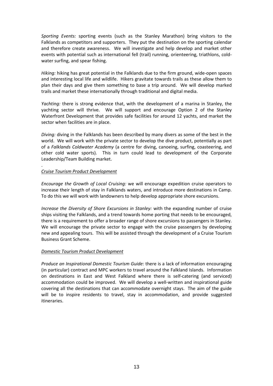*Sporting Events:* sporting events (such as the Stanley Marathon) bring visitors to the Falklands as competitors and supporters. They put the destination on the sporting calendar and therefore create awareness.We will investigate and help develop and market other events with potential such as international fell (trail) running, orienteering, triathlons, coldwater surfing, and spear fishing.

*Hiking:* hiking has great potential in the Falklands due to the firm ground, wide-open spaces and interesting local life and wildlife. Hikers gravitate towards trails as these allow them to plan their days and give them something to base a trip around. We will develop marked trails and market these internationally through traditional and digital media.

*Yachting:* there is strong evidence that, with the development of a marina in Stanley, the yachting sector will thrive. We will support and encourage Option 2 of the Stanley Waterfront Development that provides safe facilities for around 12 yachts, and market the sector when facilities are in place.

*Diving:* diving in the Falklands has been described by many divers as some of the best in the world. We will work with the private sector to develop the dive product, potentially as part of a *Falklands Coldwater Academy* (a centre for diving, canoeing, surfing, coasteering, and other cold water sports). This in turn could lead to development of the Corporate Leadership/Team Building market.

## *Cruise Tourism Product Development*

.

*Encourage the Growth of Local Cruising:* we will encourage expedition cruise operators to increase their length of stay in Falklands waters, and introduce more destinations in Camp. To do this we will work with landowners to help develop appropriate shore excursions.

*Increase the Diversity of Shore Excursions in Stanley:* with the expanding number of cruise ships visiting the Falklands, and a trend towards home porting that needs to be encouraged, there is a requirement to offer a broader range of shore excursions to passengers in Stanley. We will encourage the private sector to engage with the cruise passengers by developing new and appealing tours. This will be assisted through the development of a Cruise Tourism Business Grant Scheme.

#### *Domestic Tourism Product Development*

*Produce an Inspirational Domestic Tourism Guide:* there is a lack of information encouraging (in particular) contract and MPC workers to travel around the Falkland Islands. Information on destinations in East and West Falkland where there is self-catering (and serviced) accommodation could be improved. We will develop a well-written and inspirational guide covering all the destinations that can accommodate overnight stays. The aim of the guide will be to inspire residents to travel, stay in accommodation, and provide suggested itineraries.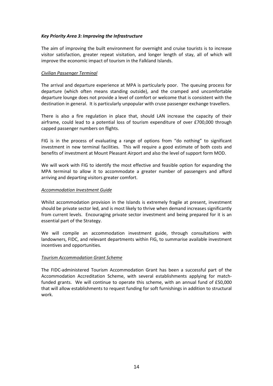## *Key Priority Area 3: Improving the Infrastructure*

The aim of improving the built environment for overnight and cruise tourists is to increase visitor satisfaction, greater repeat visitation, and longer length of stay, all of which will improve the economic impact of tourism in the Falkland Islands.

#### *Civilian Passenger Terminal*

The arrival and departure experience at MPA is particularly poor. The queuing process for departure (which often means standing outside), and the cramped and uncomfortable departure lounge does not provide a level of comfort or welcome that is consistent with the destination in general. It is particularly unpopular with cruse passenger exchange travellers.

There is also a fire regulation in place that, should LAN increase the capacity of their airframe, could lead to a potential loss of tourism expenditure of over £700,000 through capped passenger numbers on flights.

FIG is in the process of evaluating a range of options from "do nothing" to significant investment in new terminal facilities. This will require a good estimate of both costs and benefits of investment at Mount Pleasant Airport and also the level of support form MOD.

We will work with FIG to identify the most effective and feasible option for expanding the MPA terminal to allow it to accommodate a greater number of passengers and afford arriving and departing visitors greater comfort.

#### *Accommodation Investment Guide*

Whilst accommodation provision in the Islands is extremely fragile at present, investment should be private sector led, and is most likely to thrive when demand increases significantly from current levels. Encouraging private sector investment and being prepared for it is an essential part of the Strategy.

We will compile an accommodation investment guide, through consultations with landowners, FIDC, and relevant departments within FIG, to summarise available investment incentives and opportunities.

#### *Tourism Accommodation Grant Scheme*

The FIDC-administered Tourism Accommodation Grant has been a successful part of the Accommodation Accreditation Scheme, with several establishments applying for matchfunded grants. We will continue to operate this scheme, with an annual fund of £50,000 that will allow establishments to request funding for soft furnishings in addition to structural work.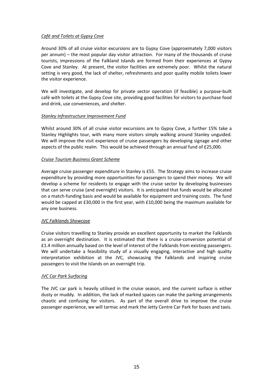## *Café and Toilets at Gypsy Cove*

Around 30% of all cruise visitor excursions are to Gypsy Cove (approximately 7,000 visitors per annum) – the most popular day visitor attraction. For many of the thousands of cruise tourists, impressions of the Falkland Islands are formed from their experiences at Gypsy Cove and Stanley. At present, the visitor facilities are extremely poor. Whilst the natural setting is very good, the lack of shelter, refreshments and poor quality mobile toilets lower the visitor experience.

We will investigate, and develop for private sector operation (if feasible) a purpose-built café with toilets at the Gypsy Cove site, providing good facilities for visitors to purchase food and drink, use conveniences, and shelter.

## *Stanley Infrastructure Improvement Fund*

Whilst around 30% of all cruise visitor excursions are to Gypsy Cove, a further 15% take a Stanley Highlights tour, with many more visitors simply walking around Stanley unguided. We will improve the visit experience of cruise passengers by developing signage and other aspects of the public realm. This would be achieved through an annual fund of £25,000.

## *Cruise Tourism Business Grant Scheme*

Average cruise passenger expenditure in Stanley is £55. The Strategy aims to increase cruise expenditure by providing more opportunities for passengers to spend their money. We will develop a scheme for residents to engage with the cruise sector by developing businesses that can serve cruise (and overnight) visitors. It is anticipated that funds would be allocated on a match-funding basis and would be available for equipment and training costs. The fund would be capped at £30,000 in the first year, with £10,000 being the maximum available for any one business.

#### *JVC Falklands Showcase*

Cruise visitors travelling to Stanley provide an excellent opportunity to market the Falklands as an overnight destination. It is estimated that there is a cruise-conversion potential of £1.4 million annually based on the level of interest of the Falklands from existing passengers. We will undertake a feasibility study of a visually engaging, interactive and high quality interpretation exhibition at the JVC, showcasing the Falklands and inspiring cruise passengers to visit the Islands on an overnight trip.

#### *JVC Car Park Surfacing*

The JVC car park is heavily utilised in the cruise season, and the current surface is either dusty or muddy. In addition, the lack of marked spaces can make the parking arrangements chaotic and confusing for visitors. As part of the overall drive to improve the cruise passenger experience, we will tarmac and mark the Jetty Centre Car Park for buses and taxis.